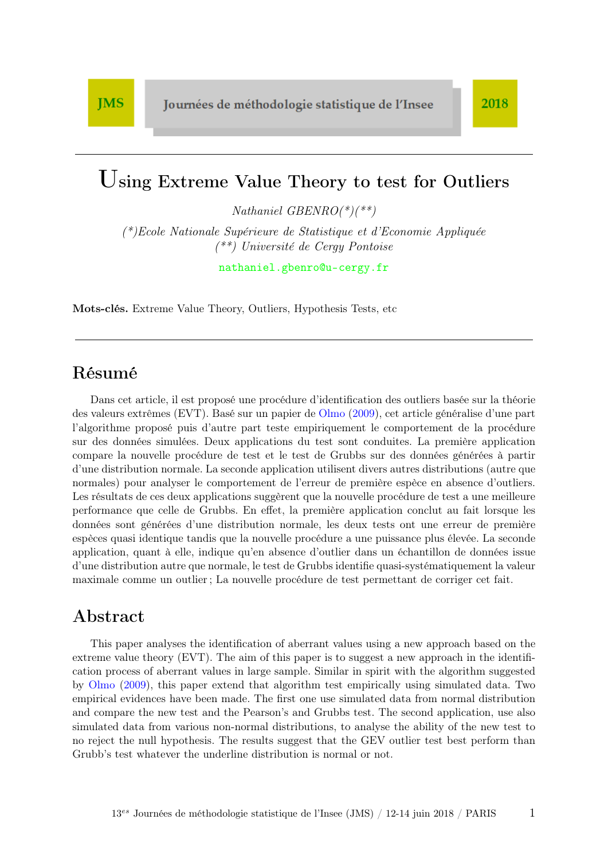# Using Extreme Value Theory to test for Outliers

Nathaniel GBENRO(\*)(\*\*)

(\*)Ecole Nationale Supérieure de Statistique et d'Economie Appliquée (\*\*) Université de Cergy Pontoise

<nathaniel.gbenro@u-cergy.fr>

Mots-clés. Extreme Value Theory, Outliers, Hypothesis Tests, etc

### Résumé

Dans cet article, il est proposé une procédure d'identification des outliers basée sur la théorie des valeurs extrêmes (EVT). Basé sur un papier de [Olmo](#page-18-0) [\(2009\)](#page-18-0), cet article généralise d'une part l'algorithme proposé puis d'autre part teste empiriquement le comportement de la procédure sur des données simulées. Deux applications du test sont conduites. La première application compare la nouvelle procédure de test et le test de Grubbs sur des données générées à partir d'une distribution normale. La seconde application utilisent divers autres distributions (autre que normales) pour analyser le comportement de l'erreur de première espèce en absence d'outliers. Les résultats de ces deux applications suggèrent que la nouvelle procédure de test a une meilleure performance que celle de Grubbs. En effet, la première application conclut au fait lorsque les données sont générées d'une distribution normale, les deux tests ont une erreur de première espèces quasi identique tandis que la nouvelle procédure a une puissance plus élevée. La seconde application, quant à elle, indique qu'en absence d'outlier dans un échantillon de données issue d'une distribution autre que normale, le test de Grubbs identifie quasi-systématiquement la valeur maximale comme un outlier ; La nouvelle procédure de test permettant de corriger cet fait.

### Abstract

This paper analyses the identification of aberrant values using a new approach based on the extreme value theory (EVT). The aim of this paper is to suggest a new approach in the identification process of aberrant values in large sample. Similar in spirit with the algorithm suggested by [Olmo](#page-18-0) [\(2009\)](#page-18-0), this paper extend that algorithm test empirically using simulated data. Two empirical evidences have been made. The first one use simulated data from normal distribution and compare the new test and the Pearson's and Grubbs test. The second application, use also simulated data from various non-normal distributions, to analyse the ability of the new test to no reject the null hypothesis. The results suggest that the GEV outlier test best perform than Grubb's test whatever the underline distribution is normal or not.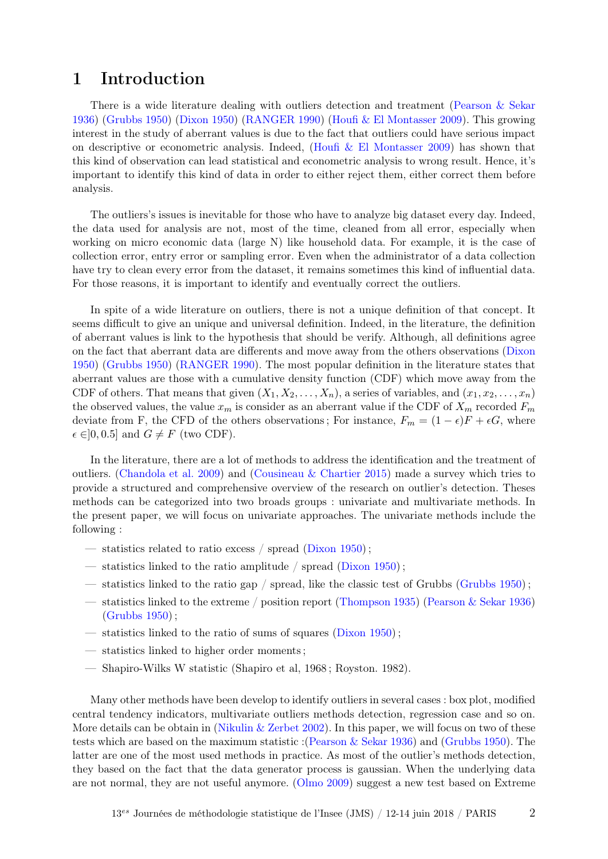# 1 Introduction

There is a wide literature dealing with outliers detection and treatment [\(Pearson & Sekar](#page-18-1) [1936\)](#page-18-1) [\(Grubbs](#page-17-0) [1950\)](#page-17-0) [\(Dixon](#page-17-1) [1950\)](#page-17-1) [\(RANGER](#page-18-2) [1990\)](#page-18-2) [\(Houfi & El Montasser](#page-17-2) [2009\)](#page-17-2). This growing interest in the study of aberrant values is due to the fact that outliers could have serious impact on descriptive or econometric analysis. Indeed, (Houfi  $&$  El Montasser [2009\)](#page-17-2) has shown that this kind of observation can lead statistical and econometric analysis to wrong result. Hence, it's important to identify this kind of data in order to either reject them, either correct them before analysis.

The outliers's issues is inevitable for those who have to analyze big dataset every day. Indeed, the data used for analysis are not, most of the time, cleaned from all error, especially when working on micro economic data (large N) like household data. For example, it is the case of collection error, entry error or sampling error. Even when the administrator of a data collection have try to clean every error from the dataset, it remains sometimes this kind of influential data. For those reasons, it is important to identify and eventually correct the outliers.

In spite of a wide literature on outliers, there is not a unique definition of that concept. It seems difficult to give an unique and universal definition. Indeed, in the literature, the definition of aberrant values is link to the hypothesis that should be verify. Although, all definitions agree on the fact that aberrant data are differents and move away from the others observations [\(Dixon](#page-17-1) [1950\)](#page-17-1) [\(Grubbs](#page-17-0) [1950\)](#page-17-0) [\(RANGER](#page-18-2) [1990\)](#page-18-2). The most popular definition in the literature states that aberrant values are those with a cumulative density function (CDF) which move away from the CDF of others. That means that given  $(X_1, X_2, \ldots, X_n)$ , a series of variables, and  $(x_1, x_2, \ldots, x_n)$ the observed values, the value  $x_m$  is consider as an aberrant value if the CDF of  $X_m$  recorded  $F_m$ deviate from F, the CFD of the others observations; For instance,  $F_m = (1 - \epsilon)F + \epsilon G$ , where  $\epsilon \in ]0, 0.5]$  and  $G \neq F$  (two CDF).

In the literature, there are a lot of methods to address the identification and the treatment of outliers. [\(Chandola et al.](#page-17-3) [2009\)](#page-17-3) and [\(Cousineau & Chartier](#page-17-4) [2015\)](#page-17-4) made a survey which tries to provide a structured and comprehensive overview of the research on outlier's detection. Theses methods can be categorized into two broads groups : univariate and multivariate methods. In the present paper, we will focus on univariate approaches. The univariate methods include the following :

- statistics related to ratio excess / spread [\(Dixon](#page-17-1) [1950\)](#page-17-1) ;
- $\overline{\phantom{a}}$  statistics linked to the ratio amplitude / spread [\(Dixon](#page-17-1) [1950\)](#page-17-1);
- statistics linked to the ratio gap / spread, like the classic test of Grubbs [\(Grubbs](#page-17-0)  $1950$ );
- statistics linked to the extreme / position report [\(Thompson](#page-18-3) [1935\)](#page-18-3) [\(Pearson & Sekar](#page-18-1) [1936\)](#page-18-1) [\(Grubbs](#page-17-0) [1950\)](#page-17-0) ;
- $-$  statistics linked to the ratio of sums of squares [\(Dixon](#page-17-1) [1950\)](#page-17-1):
- statistics linked to higher order moments ;
- Shapiro-Wilks W statistic (Shapiro et al, 1968 ; Royston. 1982).

Many other methods have been develop to identify outliers in several cases : box plot, modified central tendency indicators, multivariate outliers methods detection, regression case and so on. More details can be obtain in [\(Nikulin & Zerbet](#page-18-4) [2002\)](#page-18-4). In this paper, we will focus on two of these tests which are based on the maximum statistic :[\(Pearson & Sekar](#page-18-1) [1936\)](#page-18-1) and [\(Grubbs](#page-17-0) [1950\)](#page-17-0). The latter are one of the most used methods in practice. As most of the outlier's methods detection, they based on the fact that the data generator process is gaussian. When the underlying data are not normal, they are not useful anymore. [\(Olmo](#page-18-0) [2009\)](#page-18-0) suggest a new test based on Extreme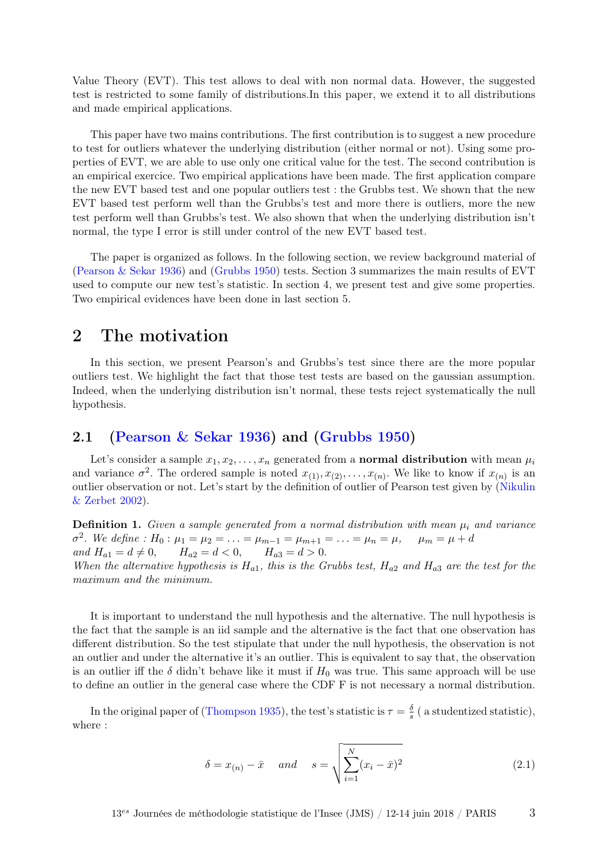Value Theory (EVT). This test allows to deal with non normal data. However, the suggested test is restricted to some family of distributions.In this paper, we extend it to all distributions and made empirical applications.

This paper have two mains contributions. The first contribution is to suggest a new procedure to test for outliers whatever the underlying distribution (either normal or not). Using some properties of EVT, we are able to use only one critical value for the test. The second contribution is an empirical exercice. Two empirical applications have been made. The first application compare the new EVT based test and one popular outliers test : the Grubbs test. We shown that the new EVT based test perform well than the Grubbs's test and more there is outliers, more the new test perform well than Grubbs's test. We also shown that when the underlying distribution isn't normal, the type I error is still under control of the new EVT based test.

The paper is organized as follows. In the following section, we review background material of [\(Pearson & Sekar](#page-18-1) [1936\)](#page-18-1) and [\(Grubbs](#page-17-0) [1950\)](#page-17-0) tests. Section 3 summarizes the main results of EVT used to compute our new test's statistic. In section 4, we present test and give some properties. Two empirical evidences have been done in last section 5.

# <span id="page-2-0"></span>2 The motivation

In this section, we present Pearson's and Grubbs's test since there are the more popular outliers test. We highlight the fact that those test tests are based on the gaussian assumption. Indeed, when the underlying distribution isn't normal, these tests reject systematically the null hypothesis.

#### 2.1 [\(Pearson & Sekar](#page-18-1) [1936\)](#page-18-1) and [\(Grubbs](#page-17-0) [1950\)](#page-17-0)

Let's consider a sample  $x_1, x_2, \ldots, x_n$  generated from a **normal distribution** with mean  $\mu_i$ and variance  $\sigma^2$ . The ordered sample is noted  $x_{(1)}, x_{(2)}, \ldots, x_{(n)}$ . We like to know if  $x_{(n)}$  is an outlier observation or not. Let's start by the definition of outlier of Pearson test given by [\(Nikulin](#page-18-4) [& Zerbet](#page-18-4) [2002\)](#page-18-4).

**Definition 1.** Given a sample generated from a normal distribution with mean  $\mu_i$  and variance  $\sigma^2$ . We define :  $H_0: \mu_1 = \mu_2 = \ldots = \mu_{m-1} = \mu_{m+1} = \ldots = \mu_n = \mu, \quad \mu_m = \mu + d$ and  $H_{a1} = d \neq 0$ ,  $H_{a2} = d < 0$ ,  $H_{a3} = d > 0$ .

When the alternative hypothesis is  $H_{a1}$ , this is the Grubbs test,  $H_{a2}$  and  $H_{a3}$  are the test for the maximum and the minimum.

It is important to understand the null hypothesis and the alternative. The null hypothesis is the fact that the sample is an iid sample and the alternative is the fact that one observation has different distribution. So the test stipulate that under the null hypothesis, the observation is not an outlier and under the alternative it's an outlier. This is equivalent to say that, the observation is an outlier iff the  $\delta$  didn't behave like it must if  $H_0$  was true. This same approach will be use to define an outlier in the general case where the CDF F is not necessary a normal distribution.

In the original paper of [\(Thompson](#page-18-3) [1935\)](#page-18-3), the test's statistic is  $\tau = \frac{\delta}{s}$  $\frac{\delta}{s}$  ( a studentized statistic), where :

$$
\delta = x_{(n)} - \bar{x} \quad and \quad s = \sqrt{\sum_{i=1}^{N} (x_i - \bar{x})^2}
$$
\n(2.1)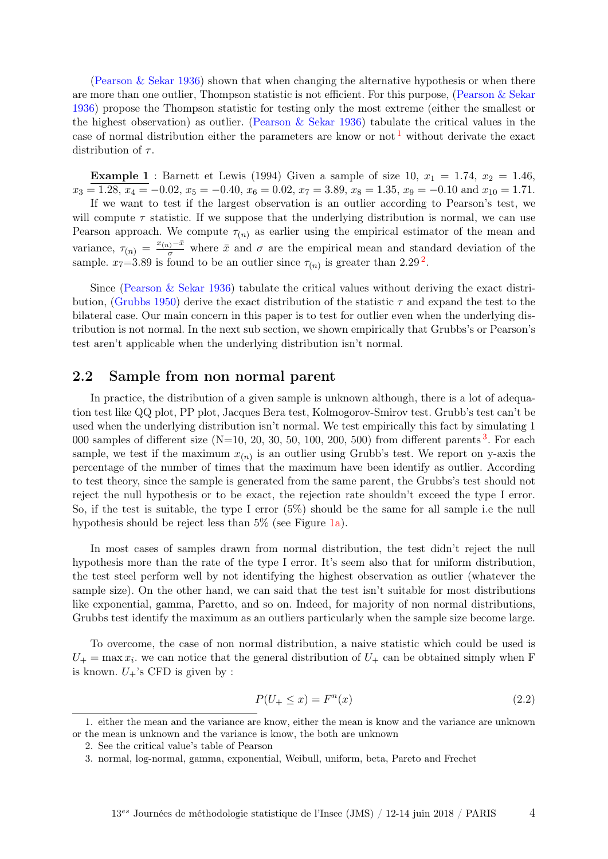[\(Pearson & Sekar](#page-18-1) [1936\)](#page-18-1) shown that when changing the alternative hypothesis or when there are more than one outlier, Thompson statistic is not efficient. For this purpose, [\(Pearson & Sekar](#page-18-1) [1936\)](#page-18-1) propose the Thompson statistic for testing only the most extreme (either the smallest or the highest observation) as outlier. (Pearson  $&$  Sekar [1936\)](#page-18-1) tabulate the critical values in the case of normal distribution either the parameters are know or not  $1$  without derivate the exact distribution of  $\tau$ .

**Example 1** : Barnett et Lewis (1994) Given a sample of size 10,  $x_1 = 1.74$ ,  $x_2 = 1.46$ ,  $x_3 = 1.28, x_4 = -0.02, x_5 = -0.40, x_6 = 0.02, x_7 = 3.89, x_8 = 1.35, x_9 = -0.10 \text{ and } x_{10} = 1.71.$ 

If we want to test if the largest observation is an outlier according to Pearson's test, we will compute  $\tau$  statistic. If we suppose that the underlying distribution is normal, we can use Pearson approach. We compute  $\tau_{(n)}$  as earlier using the empirical estimator of the mean and variance,  $\tau(n) = \frac{x(n)-\bar{x}}{\sigma}$  where  $\bar{x}$  and  $\sigma$  are the empirical mean and standard deviation of the sample.  $x_7=3.89$  is found to be an outlier since  $\tau_{(n)}$  is greater than [2](#page-3-1).29<sup>2</sup>.

Since [\(Pearson & Sekar](#page-18-1) [1936\)](#page-18-1) tabulate the critical values without deriving the exact distri-bution, [\(Grubbs](#page-17-0) [1950\)](#page-17-0) derive the exact distribution of the statistic  $\tau$  and expand the test to the bilateral case. Our main concern in this paper is to test for outlier even when the underlying distribution is not normal. In the next sub section, we shown empirically that Grubbs's or Pearson's test aren't applicable when the underlying distribution isn't normal.

### <span id="page-3-3"></span>2.2 Sample from non normal parent

In practice, the distribution of a given sample is unknown although, there is a lot of adequation test like QQ plot, PP plot, Jacques Bera test, Kolmogorov-Smirov test. Grubb's test can't be used when the underlying distribution isn't normal. We test empirically this fact by simulating 1 000 samples of different size  $(N=10, 20, 30, 50, 100, 200, 500)$  $(N=10, 20, 30, 50, 100, 200, 500)$  $(N=10, 20, 30, 50, 100, 200, 500)$  from different parents <sup>3</sup>. For each sample, we test if the maximum  $x_{(n)}$  is an outlier using Grubb's test. We report on y-axis the percentage of the number of times that the maximum have been identify as outlier. According to test theory, since the sample is generated from the same parent, the Grubbs's test should not reject the null hypothesis or to be exact, the rejection rate shouldn't exceed the type I error. So, if the test is suitable, the type I error (5%) should be the same for all sample i.e the null hypothesis should be reject less than 5% (see Figure [1a\)](#page-4-0).

In most cases of samples drawn from normal distribution, the test didn't reject the null hypothesis more than the rate of the type I error. It's seem also that for uniform distribution, the test steel perform well by not identifying the highest observation as outlier (whatever the sample size). On the other hand, we can said that the test isn't suitable for most distributions like exponential, gamma, Paretto, and so on. Indeed, for majority of non normal distributions, Grubbs test identify the maximum as an outliers particularly when the sample size become large.

To overcome, the case of non normal distribution, a naive statistic which could be used is  $U_+$  = max  $x_i$ , we can notice that the general distribution of  $U_+$  can be obtained simply when F is known.  $U_{+}$ 's CFD is given by :

$$
P(U_{+} \leq x) = F^{n}(x) \tag{2.2}
$$

<span id="page-3-0"></span><sup>1.</sup> either the mean and the variance are know, either the mean is know and the variance are unknown or the mean is unknown and the variance is know, the both are unknown

<span id="page-3-1"></span><sup>2.</sup> See the critical value's table of Pearson

<span id="page-3-2"></span><sup>3.</sup> normal, log-normal, gamma, exponential, Weibull, uniform, beta, Pareto and Frechet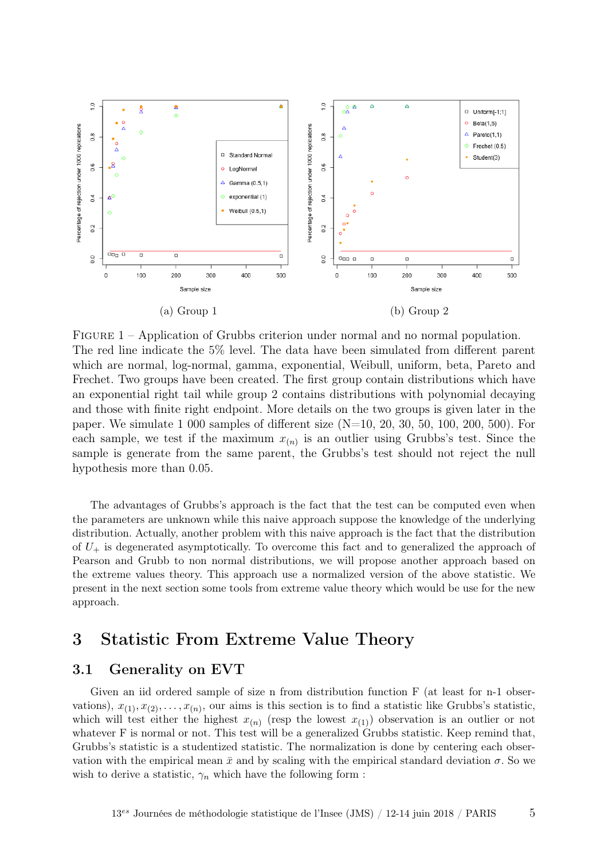<span id="page-4-0"></span>

Figure 1 – Application of Grubbs criterion under normal and no normal population. The red line indicate the 5% level. The data have been simulated from different parent which are normal, log-normal, gamma, exponential, Weibull, uniform, beta, Pareto and Frechet. Two groups have been created. The first group contain distributions which have an exponential right tail while group 2 contains distributions with polynomial decaying and those with finite right endpoint. More details on the two groups is given later in the paper. We simulate 1 000 samples of different size  $(N=10, 20, 30, 50, 100, 200, 500)$ . For each sample, we test if the maximum  $x_{(n)}$  is an outlier using Grubbs's test. Since the sample is generate from the same parent, the Grubbs's test should not reject the null hypothesis more than 0.05.

The advantages of Grubbs's approach is the fact that the test can be computed even when the parameters are unknown while this naive approach suppose the knowledge of the underlying distribution. Actually, another problem with this naive approach is the fact that the distribution of  $U_{+}$  is degenerated asymptotically. To overcome this fact and to generalized the approach of Pearson and Grubb to non normal distributions, we will propose another approach based on the extreme values theory. This approach use a normalized version of the above statistic. We present in the next section some tools from extreme value theory which would be use for the new approach.

### 3 Statistic From Extreme Value Theory

#### 3.1 Generality on EVT

Given an iid ordered sample of size n from distribution function F (at least for n-1 observations),  $x_{(1)}, x_{(2)}, \ldots, x_{(n)}$ , our aims is this section is to find a statistic like Grubbs's statistic, which will test either the highest  $x_{(n)}$  (resp the lowest  $x_{(1)}$ ) observation is an outlier or not whatever F is normal or not. This test will be a generalized Grubbs statistic. Keep remind that, Grubbs's statistic is a studentized statistic. The normalization is done by centering each observation with the empirical mean  $\bar{x}$  and by scaling with the empirical standard deviation  $\sigma$ . So we wish to derive a statistic,  $\gamma_n$  which have the following form :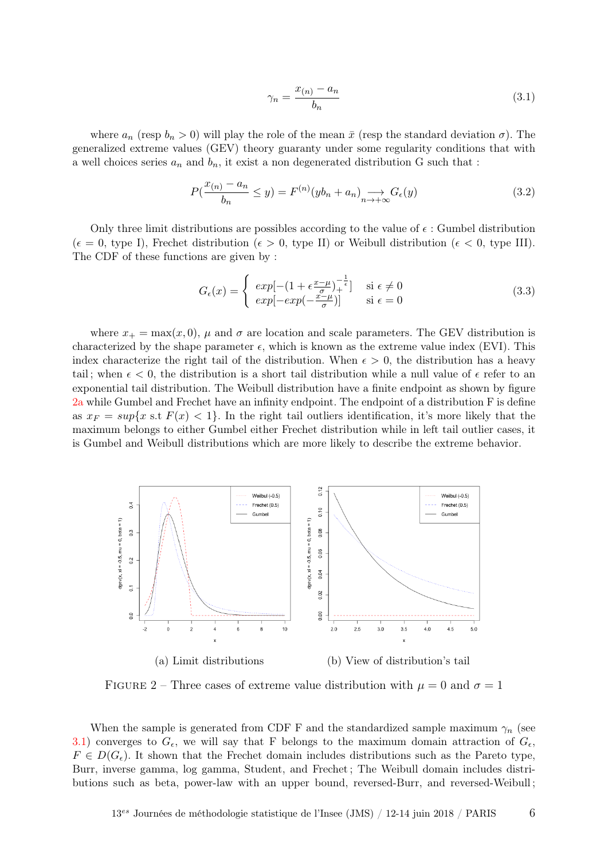<span id="page-5-1"></span>
$$
\gamma_n = \frac{x_{(n)} - a_n}{b_n} \tag{3.1}
$$

where  $a_n$  (resp  $b_n > 0$ ) will play the role of the mean  $\bar{x}$  (resp the standard deviation  $\sigma$ ). The generalized extreme values (GEV) theory guaranty under some regularity conditions that with a well choices series  $a_n$  and  $b_n$ , it exist a non degenerated distribution G such that :

$$
P(\frac{x_{(n)} - a_n}{b_n} \le y) = F^{(n)}(yb_n + a_n) \underset{n \to +\infty}{\longrightarrow} G_{\epsilon}(y)
$$
\n(3.2)

Only three limit distributions are possibles according to the value of  $\epsilon$ : Gumbel distribution  $(\epsilon = 0, \text{ type } I),$  Frechet distribution  $(\epsilon > 0, \text{ type } II)$  or Weibull distribution  $(\epsilon < 0, \text{ type } III).$ The CDF of these functions are given by :

<span id="page-5-2"></span>
$$
G_{\epsilon}(x) = \begin{cases} exp[-(1 + \epsilon \frac{x - \mu}{\sigma})_{+}^{-\frac{1}{\epsilon}}] & \text{si } \epsilon \neq 0\\ exp[-exp(-\frac{x - \mu}{\sigma})] & \text{si } \epsilon = 0 \end{cases}
$$
(3.3)

where  $x_+ = \max(x, 0)$ ,  $\mu$  and  $\sigma$  are location and scale parameters. The GEV distribution is characterized by the shape parameter  $\epsilon$ , which is known as the extreme value index (EVI). This index characterize the right tail of the distribution. When  $\epsilon > 0$ , the distribution has a heavy tail; when  $\epsilon$  < 0, the distribution is a short tail distribution while a null value of  $\epsilon$  refer to an exponential tail distribution. The Weibull distribution have a finite endpoint as shown by figure [2a](#page-5-0) while Gumbel and Frechet have an infinity endpoint. The endpoint of a distribution F is define as  $x_F = \sup\{x \text{ s.t } F(x) < 1\}$ . In the right tail outliers identification, it's more likely that the maximum belongs to either Gumbel either Frechet distribution while in left tail outlier cases, it is Gumbel and Weibull distributions which are more likely to describe the extreme behavior.

<span id="page-5-0"></span>

FIGURE 2 – Three cases of extreme value distribution with  $\mu = 0$  and  $\sigma = 1$ 

When the sample is generated from CDF F and the standardized sample maximum  $\gamma_n$  (see [3.1\)](#page-5-1) converges to  $G_{\epsilon}$ , we will say that F belongs to the maximum domain attraction of  $G_{\epsilon}$ ,  $F \in D(G_{\epsilon})$ . It shown that the Frechet domain includes distributions such as the Pareto type, Burr, inverse gamma, log gamma, Student, and Frechet ; The Weibull domain includes distributions such as beta, power-law with an upper bound, reversed-Burr, and reversed-Weibull ;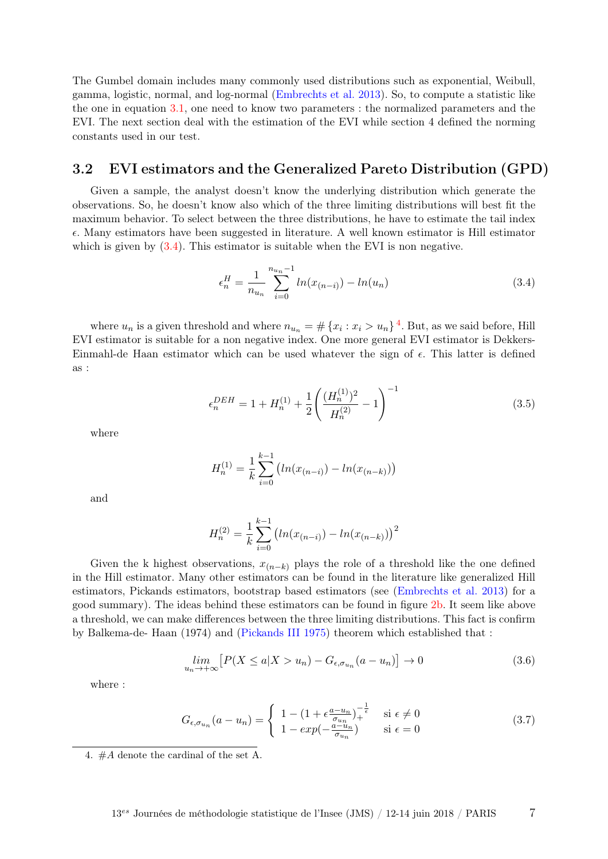The Gumbel domain includes many commonly used distributions such as exponential, Weibull, gamma, logistic, normal, and log-normal [\(Embrechts et al.](#page-17-5) [2013\)](#page-17-5). So, to compute a statistic like the one in equation [3.1,](#page-5-1) one need to know two parameters : the normalized parameters and the EVI. The next section deal with the estimation of the EVI while section 4 defined the norming constants used in our test.

### 3.2 EVI estimators and the Generalized Pareto Distribution (GPD)

Given a sample, the analyst doesn't know the underlying distribution which generate the observations. So, he doesn't know also which of the three limiting distributions will best fit the maximum behavior. To select between the three distributions, he have to estimate the tail index  $\epsilon$ . Many estimators have been suggested in literature. A well known estimator is Hill estimator which is given by  $(3.4)$ . This estimator is suitable when the EVI is non negative.

<span id="page-6-0"></span>
$$
\epsilon_n^H = \frac{1}{n_{u_n}} \sum_{i=0}^{n_{u_n}-1} \ln(x_{(n-i)}) - \ln(u_n) \tag{3.4}
$$

where  $u_n$  is a given threshold and where  $n_{u_n} = \# \{x_i : x_i > u_n\}^4$  $n_{u_n} = \# \{x_i : x_i > u_n\}^4$ . But, as we said before, Hill EVI estimator is suitable for a non negative index. One more general EVI estimator is Dekkers-Einmahl-de Haan estimator which can be used whatever the sign of  $\epsilon$ . This latter is defined as :

<span id="page-6-2"></span>
$$
\epsilon_n^{DEH} = 1 + H_n^{(1)} + \frac{1}{2} \left( \frac{(H_n^{(1)})^2}{H_n^{(2)}} - 1 \right)^{-1} \tag{3.5}
$$

where

$$
H_n^{(1)} = \frac{1}{k} \sum_{i=0}^{k-1} \left( \ln(x_{(n-i)}) - \ln(x_{(n-k)}) \right)
$$

and

$$
H_n^{(2)} = \frac{1}{k} \sum_{i=0}^{k-1} \left( \ln(x_{(n-i)}) - \ln(x_{(n-k)}) \right)^2
$$

Given the k highest observations,  $x_{(n-k)}$  plays the role of a threshold like the one defined in the Hill estimator. Many other estimators can be found in the literature like generalized Hill estimators, Pickands estimators, bootstrap based estimators (see [\(Embrechts et al.](#page-17-5) [2013\)](#page-17-5) for a good summary). The ideas behind these estimators can be found in figure [2b.](#page-5-0) It seem like above a threshold, we can make differences between the three limiting distributions. This fact is confirm by Balkema-de- Haan (1974) and [\(Pickands III](#page-18-5) [1975\)](#page-18-5) theorem which established that :

<span id="page-6-3"></span>
$$
\lim_{u_n \to +\infty} \left[ P(X \le a | X > u_n) - G_{\epsilon, \sigma_{u_n}}(a - u_n) \right] \to 0 \tag{3.6}
$$

where :

$$
G_{\epsilon,\sigma_{u_n}}(a-u_n) = \begin{cases} 1 - (1 + \epsilon \frac{a - u_n}{\sigma_{u_n}})_+^{-\frac{1}{\epsilon}} & \text{si } \epsilon \neq 0\\ 1 - exp(-\frac{a - u_n}{\sigma_{u_n}}) & \text{si } \epsilon = 0 \end{cases}
$$
(3.7)

<span id="page-6-1"></span><sup>4.</sup> #A denote the cardinal of the set A.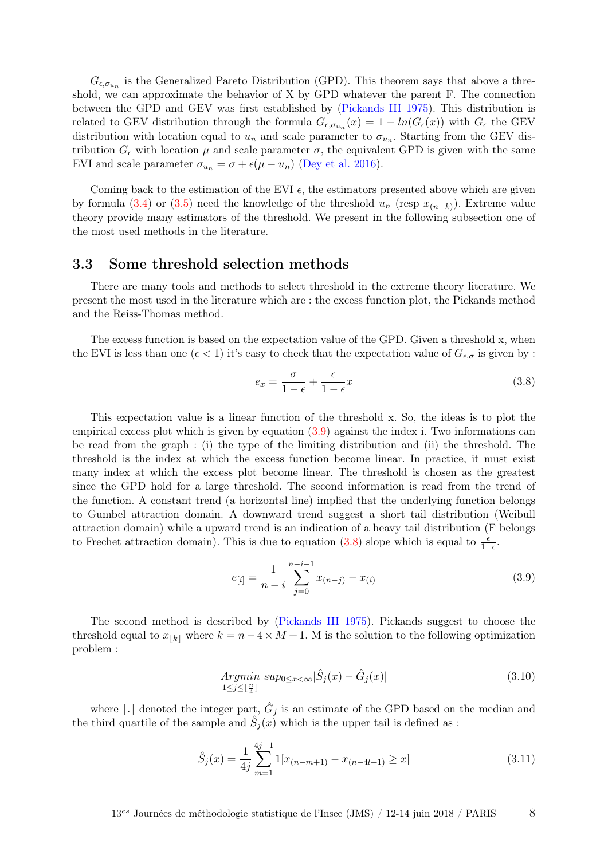$G_{\epsilon,\sigma_{u_n}}$  is the Generalized Pareto Distribution (GPD). This theorem says that above a threshold, we can approximate the behavior of X by GPD whatever the parent F. The connection between the GPD and GEV was first established by [\(Pickands III](#page-18-5) [1975\)](#page-18-5). This distribution is related to GEV distribution through the formula  $G_{\epsilon,\sigma_{u_n}}(x) = 1 - ln(G_{\epsilon}(x))$  with  $G_{\epsilon}$  the GEV distribution with location equal to  $u_n$  and scale parameter to  $\sigma_{u_n}$ . Starting from the GEV distribution  $G_{\epsilon}$  with location  $\mu$  and scale parameter  $\sigma$ , the equivalent GPD is given with the same EVI and scale parameter  $\sigma_{u_n} = \sigma + \epsilon(\mu - u_n)$  [\(Dey et al.](#page-17-6) [2016\)](#page-17-6).

Coming back to the estimation of the EVI  $\epsilon$ , the estimators presented above which are given by formula [\(3.4\)](#page-6-0) or [\(3.5\)](#page-6-2) need the knowledge of the threshold  $u_n$  (resp  $x_{(n-k)}$ ). Extreme value theory provide many estimators of the threshold. We present in the following subsection one of the most used methods in the literature.

#### 3.3 Some threshold selection methods

There are many tools and methods to select threshold in the extreme theory literature. We present the most used in the literature which are : the excess function plot, the Pickands method and the Reiss-Thomas method.

The excess function is based on the expectation value of the GPD. Given a threshold x, when the EVI is less than one  $(\epsilon < 1)$  it's easy to check that the expectation value of  $G_{\epsilon,\sigma}$  is given by :

<span id="page-7-1"></span>
$$
e_x = \frac{\sigma}{1 - \epsilon} + \frac{\epsilon}{1 - \epsilon}x\tag{3.8}
$$

This expectation value is a linear function of the threshold x. So, the ideas is to plot the empirical excess plot which is given by equation [\(3.9\)](#page-7-0) against the index i. Two informations can be read from the graph : (i) the type of the limiting distribution and (ii) the threshold. The threshold is the index at which the excess function become linear. In practice, it must exist many index at which the excess plot become linear. The threshold is chosen as the greatest since the GPD hold for a large threshold. The second information is read from the trend of the function. A constant trend (a horizontal line) implied that the underlying function belongs to Gumbel attraction domain. A downward trend suggest a short tail distribution (Weibull attraction domain) while a upward trend is an indication of a heavy tail distribution (F belongs to Frechet attraction domain). This is due to equation [\(3.8\)](#page-7-1) slope which is equal to  $\frac{\epsilon}{1-\epsilon}$ .

<span id="page-7-0"></span>
$$
e_{[i]} = \frac{1}{n-i} \sum_{j=0}^{n-i-1} x_{(n-j)} - x_{(i)}
$$
\n(3.9)

The second method is described by [\(Pickands III](#page-18-5) [1975\)](#page-18-5). Pickands suggest to choose the threshold equal to  $x_{[k]}$  where  $k = n - 4 \times M + 1$ . M is the solution to the following optimization problem :

<span id="page-7-2"></span>
$$
\underset{1 \le j \le \lfloor \frac{n}{4} \rfloor}{Argmin} \, \underset{1 \le j \le \lfloor \frac{n}{4} \rfloor}{sup_{0 \le x < \infty}} |\hat{S}_j(x) - \hat{G}_j(x)| \tag{3.10}
$$

where [.] denoted the integer part,  $\hat{G}_j$  is an estimate of the GPD based on the median and the third quartile of the sample and  $S_j(x)$  which is the upper tail is defined as :

$$
\hat{S}_j(x) = \frac{1}{4j} \sum_{m=1}^{4j-1} 1[x_{(n-m+1)} - x_{(n-4l+1)} \ge x]
$$
\n(3.11)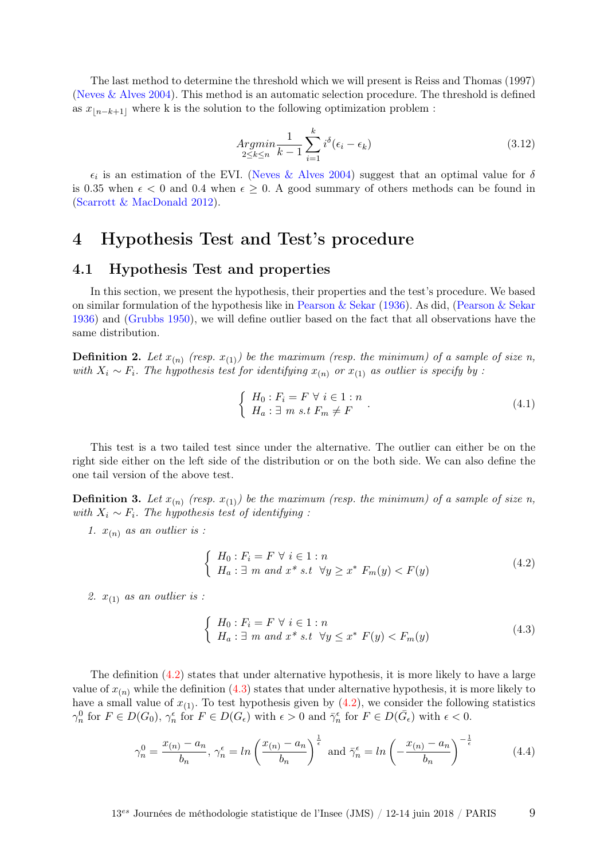The last method to determine the threshold which we will present is Reiss and Thomas (1997) [\(Neves & Alves](#page-18-6) [2004\)](#page-18-6). This method is an automatic selection procedure. The threshold is defined as  $x_{n-k+1}$  where k is the solution to the following optimization problem :

<span id="page-8-3"></span>
$$
\underset{2 \le k \le n}{Argmin} \frac{1}{k-1} \sum_{i=1}^{k} i^{\delta} (\epsilon_i - \epsilon_k) \tag{3.12}
$$

 $\epsilon_i$  is an estimation of the EVI. [\(Neves & Alves](#page-18-6) [2004\)](#page-18-6) suggest that an optimal value for  $\delta$ is 0.35 when  $\epsilon$  < 0 and 0.4 when  $\epsilon \geq 0$ . A good summary of others methods can be found in [\(Scarrott & MacDonald](#page-18-7) [2012\)](#page-18-7).

### 4 Hypothesis Test and Test's procedure

#### 4.1 Hypothesis Test and properties

In this section, we present the hypothesis, their properties and the test's procedure. We based on similar formulation of the hypothesis like in [Pearson & Sekar](#page-18-1) [\(1936\)](#page-18-1). As did, [\(Pearson & Sekar](#page-18-1) [1936\)](#page-18-1) and [\(Grubbs](#page-17-0) [1950\)](#page-17-0), we will define outlier based on the fact that all observations have the same distribution.

**Definition 2.** Let  $x_{(n)}$  (resp.  $x_{(1)}$ ) be the maximum (resp. the minimum) of a sample of size n, with  $X_i \sim F_i$ . The hypothesis test for identifying  $x_{(n)}$  or  $x_{(1)}$  as outlier is specify by :

$$
\begin{cases}\nH_0: F_i = F \forall i \in 1:n \\
H_a: \exists m \ s.t \ F_m \neq F\n\end{cases}.
$$
\n(4.1)

This test is a two tailed test since under the alternative. The outlier can either be on the right side either on the left side of the distribution or on the both side. We can also define the one tail version of the above test.

**Definition 3.** Let  $x_{(n)}$  (resp.  $x_{(1)}$ ) be the maximum (resp. the minimum) of a sample of size n, with  $X_i \sim F_i$ . The hypothesis test of identifying :

1.  $x_{(n)}$  as an outlier is :

<span id="page-8-0"></span>
$$
\begin{cases}\nH_0: F_i = F \forall i \in 1:n \\
H_a: \exists m \text{ and } x^* \text{ s.t } \forall y \ge x^* \ F_m(y) < F(y)\n\end{cases} \tag{4.2}
$$

2.  $x_{(1)}$  as an outlier is :

<span id="page-8-1"></span>
$$
\begin{cases}\nH_0: F_i = F \forall i \in 1: n \\
H_a: \exists m \text{ and } x^* \text{ s.t } \forall y \le x^* \ F(y) < F_m(y)\n\end{cases} \tag{4.3}
$$

The definition [\(4.2\)](#page-8-0) states that under alternative hypothesis, it is more likely to have a large value of  $x_{(n)}$  while the definition [\(4.3\)](#page-8-1) states that under alternative hypothesis, it is more likely to have a small value of  $x_{(1)}$ . To test hypothesis given by  $(4.2)$ , we consider the following statistics  $\gamma_n^0$  for  $F \in D(G_0)$ ,  $\gamma_n^{\epsilon}$  for  $F \in D(G_{\epsilon})$  with  $\epsilon > 0$  and  $\overline{\gamma}_n^{\epsilon}$  for  $F \in D(\overline{G}_{\epsilon})$  with  $\epsilon < 0$ .

<span id="page-8-2"></span>
$$
\gamma_n^0 = \frac{x_{(n)} - a_n}{b_n}, \gamma_n^{\epsilon} = \ln\left(\frac{x_{(n)} - a_n}{b_n}\right)^{\frac{1}{\epsilon}} \text{ and } \bar{\gamma}_n^{\epsilon} = \ln\left(-\frac{x_{(n)} - a_n}{b_n}\right)^{-\frac{1}{\epsilon}} \tag{4.4}
$$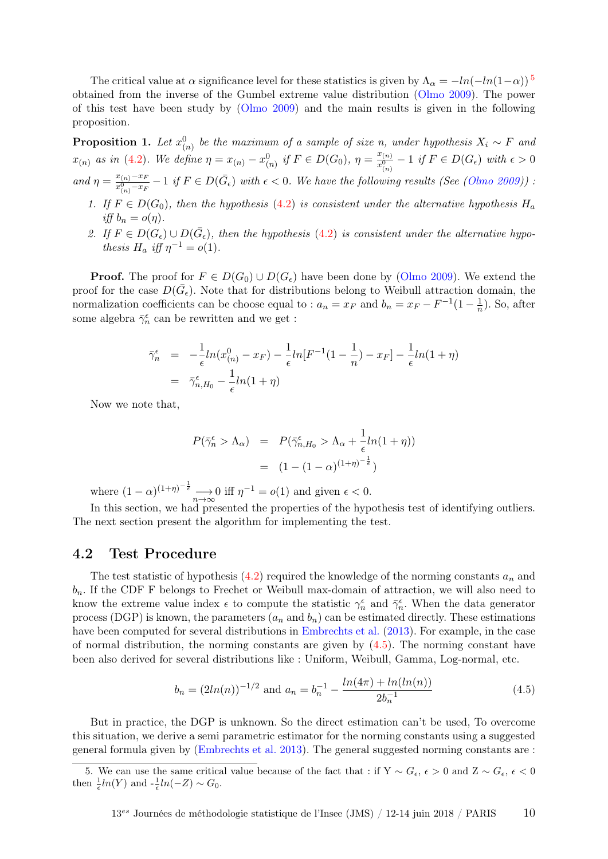The critical value at  $\alpha$  significance level for these statistics is given by  $\Lambda_{\alpha} = -ln(-ln(1-\alpha))$ <sup>[5](#page-9-0)</sup> obtained from the inverse of the Gumbel extreme value distribution [\(Olmo](#page-18-0) [2009\)](#page-18-0). The power of this test have been study by [\(Olmo](#page-18-0) [2009\)](#page-18-0) and the main results is given in the following proposition.

**Proposition 1.** Let  $x_{(n)}^0$  be the maximum of a sample of size n, under hypothesis  $X_i \sim F$  and  $x_{(n)}$  as in [\(4.2\)](#page-8-0). We define  $\eta = x_{(n)} - x_{(n)}^0$  if  $F \in D(G_0)$ ,  $\eta = \frac{x_{(n)}}{x_{(n)}^0}$  $\frac{x_{(n)}}{x_{(n)}^0} - 1$  if  $F \in D(G_{\epsilon})$  with  $\epsilon > 0$ and  $\eta = \frac{x_{(n)}-x_F}{x_0-x_F}$  $\frac{x_{(n)}-x_F}{x_{(n)}^0-x_F}-1$  if  $F\in D(\bar{G}_{\epsilon})$  with  $\epsilon < 0$ . We have the following results (See [\(Olmo](#page-18-0) [2009\)](#page-18-0)) : 1. If  $F \in D(G_0)$ , then the hypothesis [\(4.2\)](#page-8-0) is consistent under the alternative hypothesis  $H_a$ 

- iff  $b_n = o(\eta)$ .
- 2. If  $F \in D(G_{\epsilon}) \cup D(\bar{G}_{\epsilon})$ , then the hypothesis [\(4.2\)](#page-8-0) is consistent under the alternative hypothesis  $H_a$  iff  $\eta^{-1} = o(1)$ .

**Proof.** The proof for  $F \in D(G_0) \cup D(G_{\epsilon})$  have been done by [\(Olmo](#page-18-0) [2009\)](#page-18-0). We extend the proof for the case  $D(\bar{G}_{\epsilon})$ . Note that for distributions belong to Weibull attraction domain, the normalization coefficients can be choose equal to :  $a_n = x_F$  and  $b_n = x_F - F^{-1}(1 - \frac{1}{n})$  $\frac{1}{n}$ ). So, after some algebra  $\bar{\gamma}_n^\epsilon$  can be rewritten and we get :

$$
\bar{\gamma}_n^{\epsilon} = -\frac{1}{\epsilon} ln(x_{(n)}^0 - x_F) - \frac{1}{\epsilon} ln[F^{-1}(1 - \frac{1}{n}) - x_F] - \frac{1}{\epsilon} ln(1 + \eta) \n= \bar{\gamma}_{n,H_0}^{\epsilon} - \frac{1}{\epsilon} ln(1 + \eta)
$$

Now we note that,

$$
P(\bar{\gamma}_n^{\epsilon} > \Lambda_{\alpha}) = P(\bar{\gamma}_{n,H_0}^{\epsilon} > \Lambda_{\alpha} + \frac{1}{\epsilon}ln(1+\eta))
$$

$$
= (1 - (1 - \alpha)^{(1+\eta)^{-\frac{1}{\epsilon}}})
$$

where  $(1 - \alpha)^{(1+\eta)^{-\frac{1}{\epsilon}}} \longrightarrow 0$  iff  $\eta^{-1} = o(1)$  and given  $\epsilon < 0$ .

In this section, we had presented the properties of the hypothesis test of identifying outliers. The next section present the algorithm for implementing the test.

#### 4.2 Test Procedure

The test statistic of hypothesis [\(4.2\)](#page-8-0) required the knowledge of the norming constants  $a_n$  and  $b_n$ . If the CDF F belongs to Frechet or Weibull max-domain of attraction, we will also need to know the extreme value index  $\epsilon$  to compute the statistic  $\gamma_n^{\epsilon}$  and  $\bar{\gamma}_n^{\epsilon}$ . When the data generator process (DGP) is known, the parameters  $(a_n$  and  $b_n)$  can be estimated directly. These estimations have been computed for several distributions in [Embrechts et al.](#page-17-5) [\(2013\)](#page-17-5). For example, in the case of normal distribution, the norming constants are given by  $(4.5)$ . The norming constant have been also derived for several distributions like : Uniform, Weibull, Gamma, Log-normal, etc.

<span id="page-9-1"></span>
$$
b_n = (2ln(n))^{-1/2} \text{ and } a_n = b_n^{-1} - \frac{ln(4\pi) + ln(ln(n))}{2b_n^{-1}}
$$
(4.5)

But in practice, the DGP is unknown. So the direct estimation can't be used, To overcome this situation, we derive a semi parametric estimator for the norming constants using a suggested general formula given by [\(Embrechts et al.](#page-17-5) [2013\)](#page-17-5). The general suggested norming constants are :

<span id="page-9-0"></span><sup>5.</sup> We can use the same critical value because of the fact that : if Y  $\sim G_{\epsilon}$ ,  $\epsilon > 0$  and Z  $\sim G_{\epsilon}$ ,  $\epsilon < 0$ then  $\frac{1}{\epsilon}ln(Y)$  and  $-\frac{1}{\epsilon}ln(-Z) \sim G_0$ .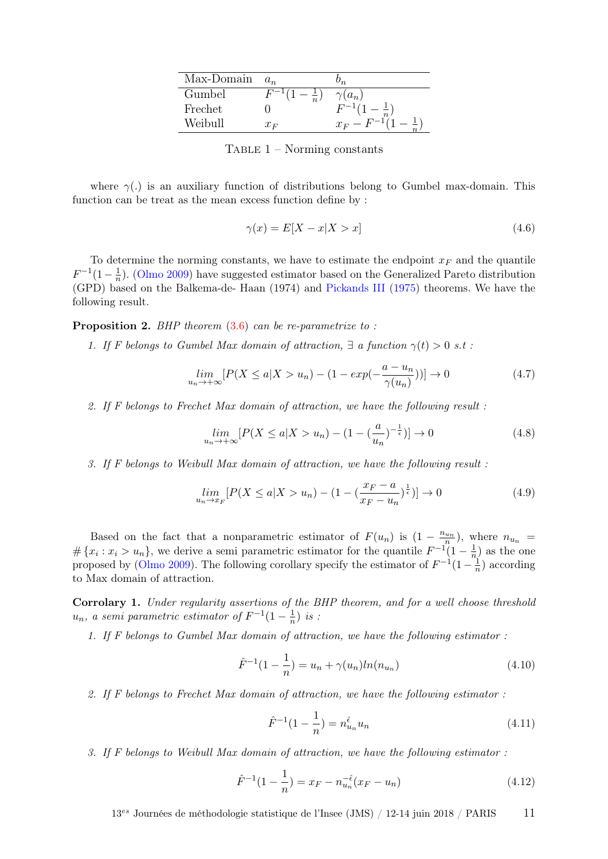| Max-Domain | $a_n$                        | $\prime_{n}$  |
|------------|------------------------------|---------------|
| Gumbel     | $F^{-1}$ (<br>$\overline{n}$ | $\gamma(a_n)$ |
| Frechet    |                              | $F^{-1}(1)$   |
| Weibull    | $x_F$                        | $x_F - F$     |

TABLE  $1$  – Norming constants

where  $\gamma(.)$  is an auxiliary function of distributions belong to Gumbel max-domain. This function can be treat as the mean excess function define by :

$$
\gamma(x) = E[X - x | X > x] \tag{4.6}
$$

To determine the norming constants, we have to estimate the endpoint  $x_F$  and the quantile  $F^{-1}(1-\frac{1}{n})$  $\frac{1}{n}$ ). [\(Olmo](#page-18-0) [2009\)](#page-18-0) have suggested estimator based on the Generalized Pareto distribution (GPD) based on the Balkema-de- Haan (1974) and [Pickands III](#page-18-5) [\(1975\)](#page-18-5) theorems. We have the following result.

<span id="page-10-0"></span>**Proposition 2.** BHP theorem  $(3.6)$  can be re-parametrize to:

1. If F belongs to Gumbel Max domain of attraction,  $\exists$  a function  $\gamma(t) > 0$  s.t :

$$
\lim_{u_n \to +\infty} \left[ P(X \le a | X > u_n) - (1 - \exp(-\frac{a - u_n}{\gamma(u_n)})) \right] \to 0 \tag{4.7}
$$

2. If F belongs to Frechet Max domain of attraction, we have the following result :

$$
\lim_{u_n \to +\infty} \left[ P(X \le a | X > u_n) - (1 - \left(\frac{a}{u_n}\right)^{-\frac{1}{\epsilon}}) \right] \to 0 \tag{4.8}
$$

3. If F belongs to Weibull Max domain of attraction, we have the following result :

$$
\lim_{u_n \to x_F} [P(X \le a | X > u_n) - (1 - (\frac{x_F - a}{x_F - u_n})^{\frac{1}{\epsilon}})] \to 0
$$
\n(4.9)

Based on the fact that a nonparametric estimator of  $F(u_n)$  is  $(1 - \frac{n_{un}}{n})$ , where  $n_{u_n}$  $\#\{x_i : x_i > u_n\}$ , we derive a semi-parametric estimator for the quantile  $F^{-1}(1-\frac{1}{n})$  $\frac{1}{n}$  as the one proposed by [\(Olmo](#page-18-0) [2009\)](#page-18-0). The following corollary specify the estimator of  $F^{-1}(1-\frac{1}{n})$  $\frac{1}{n}$ ) according to Max domain of attraction.

Corrolary 1. Under regularity assertions of the BHP theorem, and for a well choose threshold  $u_n$ , a semi parametric estimator of  $F^{-1}(1-\frac{1}{n})$  $rac{1}{n}$ ) is :

1. If F belongs to Gumbel Max domain of attraction, we have the following estimator :

$$
\hat{F}^{-1}(1 - \frac{1}{n}) = u_n + \gamma(u_n) \ln(n_{u_n})
$$
\n(4.10)

2. If F belongs to Frechet Max domain of attraction, we have the following estimator :

$$
\hat{F}^{-1}(1 - \frac{1}{n}) = n_{u_n}^{\hat{\epsilon}} u_n \tag{4.11}
$$

3. If F belongs to Weibull Max domain of attraction, we have the following estimator :

$$
\hat{F}^{-1}(1 - \frac{1}{n}) = x_F - n_{u_n}^{-\hat{\epsilon}}(x_F - u_n)
$$
\n(4.12)

 $13^{es}$  Journées de méthodologie statistique de l'Insee (JMS) / 12-14 juin 2018 / PARIS 11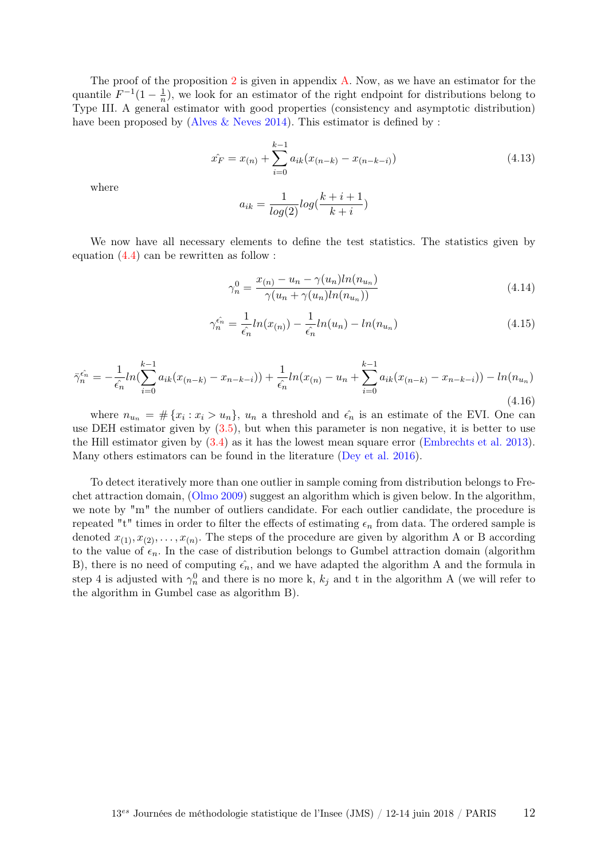The proof of the proposition [2](#page-10-0) is given in appendix [A.](#page-19-0) Now, as we have an estimator for the quantile  $F^{-1}(1-\frac{1}{n})$  $\frac{1}{n}$ , we look for an estimator of the right endpoint for distributions belong to Type III. A general estimator with good properties (consistency and asymptotic distribution) have been proposed by [\(Alves & Neves](#page-17-7) [2014\)](#page-17-7). This estimator is defined by :

$$
\hat{x_F} = x_{(n)} + \sum_{i=0}^{k-1} a_{ik} (x_{(n-k)} - x_{(n-k-i)})
$$
\n(4.13)

where

$$
a_{ik} = \frac{1}{log(2)} log(\frac{k+i+1}{k+i})
$$

We now have all necessary elements to define the test statistics. The statistics given by equation  $(4.4)$  can be rewritten as follow :

<span id="page-11-1"></span>
$$
\gamma_n^0 = \frac{x_{(n)} - u_n - \gamma(u_n)ln(n_{u_n})}{\gamma(u_n + \gamma(u_n)ln(n_{u_n}))}
$$
\n(4.14)

<span id="page-11-0"></span>
$$
\gamma_n^{\hat{\epsilon_n}} = \frac{1}{\hat{\epsilon_n}} ln(x_{(n)}) - \frac{1}{\hat{\epsilon_n}} ln(u_n) - ln(n_{u_n})
$$
\n(4.15)

<span id="page-11-2"></span>
$$
\bar{\gamma}_n^{\hat{\epsilon_n}} = -\frac{1}{\hat{\epsilon_n}} ln(\sum_{i=0}^{k-1} a_{ik}(x_{(n-k)} - x_{n-k-i})) + \frac{1}{\hat{\epsilon_n}} ln(x_{(n)} - u_n + \sum_{i=0}^{k-1} a_{ik}(x_{(n-k)} - x_{n-k-i})) - ln(n_{u_n})
$$
\n(4.16)

where  $n_{u_n} = \# \{x_i : x_i > u_n\}$ ,  $u_n$  a threshold and  $\hat{\epsilon_n}$  is an estimate of the EVI. One can use DEH estimator given by [\(3.5\)](#page-6-2), but when this parameter is non negative, it is better to use the Hill estimator given by [\(3.4\)](#page-6-0) as it has the lowest mean square error [\(Embrechts et al.](#page-17-5) [2013\)](#page-17-5). Many others estimators can be found in the literature [\(Dey et al.](#page-17-6) [2016\)](#page-17-6).

To detect iteratively more than one outlier in sample coming from distribution belongs to Frechet attraction domain, [\(Olmo](#page-18-0) [2009\)](#page-18-0) suggest an algorithm which is given below. In the algorithm, we note by "m" the number of outliers candidate. For each outlier candidate, the procedure is repeated "t" times in order to filter the effects of estimating  $\epsilon_n$  from data. The ordered sample is denoted  $x_{(1)}, x_{(2)}, \ldots, x_{(n)}$ . The steps of the procedure are given by algorithm A or B according to the value of  $\epsilon_n$ . In the case of distribution belongs to Gumbel attraction domain (algorithm B), there is no need of computing  $\epsilon_n$ , and we have adapted the algorithm A and the formula in step 4 is adjusted with  $\gamma_n^0$  and there is no more k,  $k_j$  and t in the algorithm A (we will refer to the algorithm in Gumbel case as algorithm B).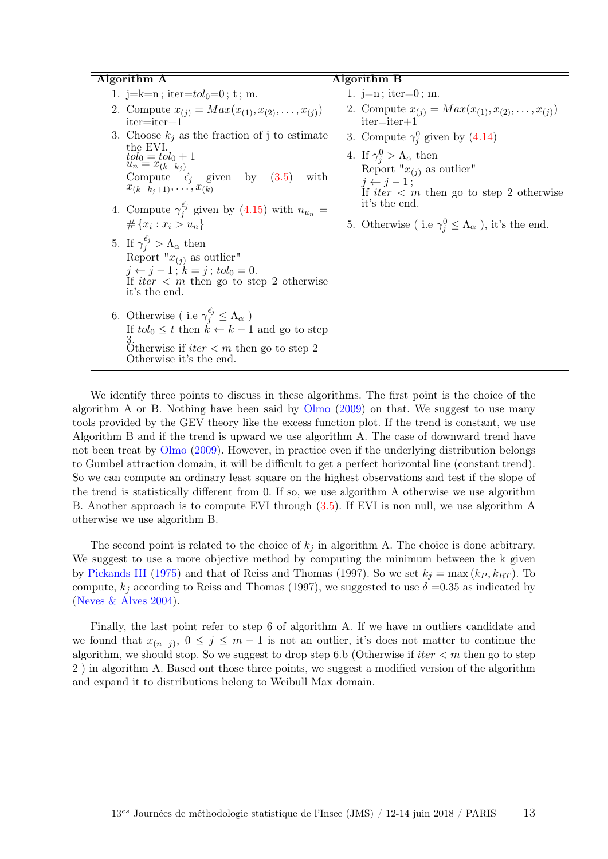#### Algorithm A

- 1. j=k=n; iter= $tol_0=0$ ; t; m.
- 2. Compute  $x_{(j)} = Max(x_{(1)}, x_{(2)}, \ldots, x_{(j)})$ iter=iter+1
- 3. Choose  $k_i$  as the fraction of j to estimate the EVI.  $tol_0 = tol_0 + 1$ <br> $u_n = x_{(k-k_j)}$ Compute  $\hat{\epsilon}_j$  given by  $(3.5)$  with  $x_{(k-k_j+1)}, \ldots, x_{(k)}$
- 4. Compute  $\gamma_i^{\hat{\epsilon}_j}$  $j_j^{\epsilon_j}$  given by [\(4.15\)](#page-11-0) with  $n_{u_n} =$  $\#\{x_i : x_i > u_n\}$
- 5. If  $\gamma_j^{\hat{\epsilon}_j} > \Lambda_\alpha$  then Report  $''x_{(j)}$  as outlier"  $j \leftarrow j - 1$ ;  $k = j$ ;  $tol_0 = 0$ . If *iter*  $\lt m$  then go to step 2 otherwise it's the end.
- 6. Otherwise ( i.e  $\gamma_j^{\hat{\epsilon}_j} \leq \Lambda_\alpha$  ) If  $tol_0 \leq t$  then  $\tilde{k} \leftarrow k-1$  and go to step 3. Otherwise if  $iter < m$  then go to step 2 Otherwise it's the end.

#### Algorithm B

- 1.  $j=n$ ; iter=0; m.
- 2. Compute  $x_{(j)} = Max(x_{(1)}, x_{(2)}, \ldots, x_{(j)})$ iter=iter+1
- 3. Compute  $\gamma_j^0$  given by [\(4.14\)](#page-11-1)
- 4. If  $\gamma_j^0 > \Lambda_\alpha$  then Report " $x_{(j)}$  as outlier"  $j \leftarrow j - 1;$ If iter  $\langle m \rangle$  then go to step 2 otherwise it's the end.
- 5. Otherwise (i.e  $\gamma_j^0 \leq \Lambda_\alpha$ ), it's the end.

We identify three points to discuss in these algorithms. The first point is the choice of the algorithm A or B. Nothing have been said by  $O$ lmo  $(2009)$  on that. We suggest to use many tools provided by the GEV theory like the excess function plot. If the trend is constant, we use Algorithm B and if the trend is upward we use algorithm A. The case of downward trend have not been treat by [Olmo](#page-18-0) [\(2009\)](#page-18-0). However, in practice even if the underlying distribution belongs to Gumbel attraction domain, it will be difficult to get a perfect horizontal line (constant trend). So we can compute an ordinary least square on the highest observations and test if the slope of the trend is statistically different from 0. If so, we use algorithm A otherwise we use algorithm B. Another approach is to compute EVI through [\(3.5\)](#page-6-2). If EVI is non null, we use algorithm A otherwise we use algorithm B.

The second point is related to the choice of  $k_j$  in algorithm A. The choice is done arbitrary. We suggest to use a more objective method by computing the minimum between the k given by [Pickands III](#page-18-5) [\(1975\)](#page-18-5) and that of Reiss and Thomas (1997). So we set  $k_j = \max (k_P, k_{RT})$ . To compute,  $k_i$  according to Reiss and Thomas (1997), we suggested to use  $\delta = 0.35$  as indicated by (Neves  $&$  Alves [2004\)](#page-18-6).

Finally, the last point refer to step 6 of algorithm A. If we have m outliers candidate and we found that  $x_{(n-j)}$ ,  $0 \leq j \leq m-1$  is not an outlier, it's does not matter to continue the algorithm, we should stop. So we suggest to drop step 6.b (Otherwise if  $iter < m$  then go to step 2 ) in algorithm A. Based ont those three points, we suggest a modified version of the algorithm and expand it to distributions belong to Weibull Max domain.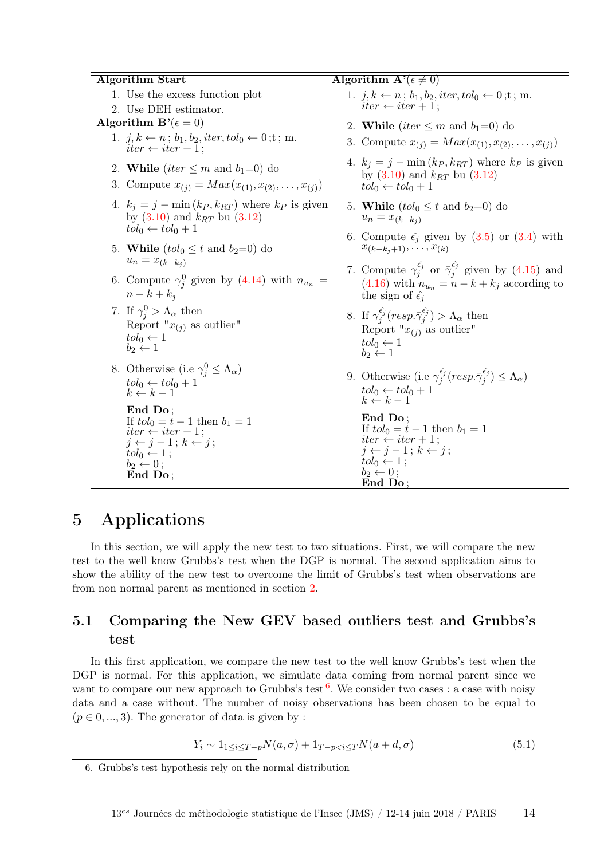#### Algorithm Start

- 1. Use the excess function plot
- 2. Use DEH estimator.
- Algorithm  $\mathbf{B}'(\epsilon=0)$ 
	- 1.  $j, k \leftarrow n$ ;  $b_1, b_2$ , iter,  $tol_0 \leftarrow 0$ ; t; m.  $iter \leftarrow iter + 1$ ;
	- 2. While (iter  $\leq m$  and  $b_1=0$ ) do
	- 3. Compute  $x_{(j)} = Max(x_{(1)}, x_{(2)}, \ldots, x_{(j)})$
	- 4.  $k_j = j \min(k_P, k_{RT})$  where  $k_P$  is given by  $(3.10)$  and  $k_{RT}$  bu  $(3.12)$  $tol_0 \leftarrow tol_0 + 1$
	- 5. While  $(tol_0 \leq t$  and  $b_2=0)$  do  $u_n = x_{(k-k_i)}$
	- 6. Compute  $\gamma_j^0$  given by [\(4.14\)](#page-11-1) with  $n_{u_n} =$  $n-k+k_i$
	- 7. If  $\gamma_j^0 > \Lambda_\alpha$  then Report " $x_{(j)}$  as outlier"  $tol_0 \leftarrow 1$  $b_2 \leftarrow 1$
	- 8. Otherwise (i.e  $\gamma_j^0 \leq \Lambda_\alpha$ )  $tol_0 \leftarrow tol_0 + 1$  $k \leftarrow k - 1$

End Do ; If  $tol_0 = t - 1$  then  $b_1 = 1$  $iter \leftarrow iter + 1$ ;  $j \leftarrow j - 1; k \leftarrow j;$  $tol_0 \leftarrow 1$ ;  $b_2 \stackrel{\check{\smile}}{\leftarrow} 0$ ; End Do ;

- Algorithm  $\mathbf{A}'(\epsilon \neq 0)$ 
	- 1.  $j, k \leftarrow n$ ;  $b_1, b_2$ , iter,  $tol_0 \leftarrow 0$ ; t; m.  $iter \leftarrow iter + 1$ ;
	- 2. While (iter  $\leq m$  and  $b_1=0$ ) do
	- 3. Compute  $x_{(j)} = Max(x_{(1)}, x_{(2)}, \ldots, x_{(j)})$
	- 4.  $k_j = j \min(k_P, k_{RT})$  where  $k_P$  is given by  $(3.10)$  and  $k_{RT}$  bu  $(3.12)$  $tol_0 \leftarrow tol_0 + 1$
	- 5. While  $(tol_0 \leq t$  and  $b_2=0$  do  $u_n = x_{(k-k_i)}$
	- 6. Compute  $\hat{\epsilon}_i$  given by [\(3.5\)](#page-6-2) or [\(3.4\)](#page-6-0) with  $x_{(k-k_j+1)}, \ldots, x_{(k)}$
	- 7. Compute  $\gamma_i^{\hat{\epsilon}_j}$  $\frac{\hat{\epsilon_j}}{j}$  or  $\bar{\gamma}^{\hat{\epsilon_j}}_j$  $j_j^{\epsilon_j}$  given by  $(4.15)$  and [\(4.16\)](#page-11-2) with  $n_{u_n} = n - k + k_j$  according to the sign of  $\hat{\epsilon}_i$
	- 8. If  $\gamma_i^{\hat{\epsilon}_j}$  $\hat{\epsilon_j^j}(resp. \bar{\gamma}_j^{\hat{\epsilon_j}})$  $\Lambda_{\alpha}^{ij}$ ) >  $\Lambda_{\alpha}$  then Report " $x_{(i)}$ " as outlier"  $tol_0 \leftarrow 1$  $b_2 \leftarrow 1$
	- 9. Otherwise (i.e  $\gamma_i^{\hat{\epsilon}_j}$  $\hat{\epsilon_j^j}(resp. \bar{\gamma}_j^{\hat{\epsilon_j}})$  $\binom{\epsilon_j}{j} \leq \Lambda_{\alpha}$  $tol_0 \leftarrow tol_0 + 1$  $k \leftarrow k - 1$

```
End Do ;
If tol_0 = t - 1 then b_1 = 1iter \stackrel{\sim}{\leftarrow} iter + 1;
j \leftarrow j - 1; k \leftarrow j;tol_0 \leftarrow 1;
```
 $b_2 \leftarrow 0$ ; End Do ;

# 5 Applications

In this section, we will apply the new test to two situations. First, we will compare the new test to the well know Grubbs's test when the DGP is normal. The second application aims to show the ability of the new test to overcome the limit of Grubbs's test when observations are from non normal parent as mentioned in section [2.](#page-2-0)

### 5.1 Comparing the New GEV based outliers test and Grubbs's test

In this first application, we compare the new test to the well know Grubbs's test when the DGP is normal. For this application, we simulate data coming from normal parent since we want to compare our new approach to Grubbs's test  $6$ . We consider two cases : a case with noisy data and a case without. The number of noisy observations has been chosen to be equal to  $(p \in 0, ..., 3)$ . The generator of data is given by:

<span id="page-13-1"></span>
$$
Y_i \sim 1_{1 \le i \le T-p} N(a, \sigma) + 1_{T-p < i \le T} N(a+d, \sigma) \tag{5.1}
$$

<span id="page-13-0"></span><sup>6.</sup> Grubbs's test hypothesis rely on the normal distribution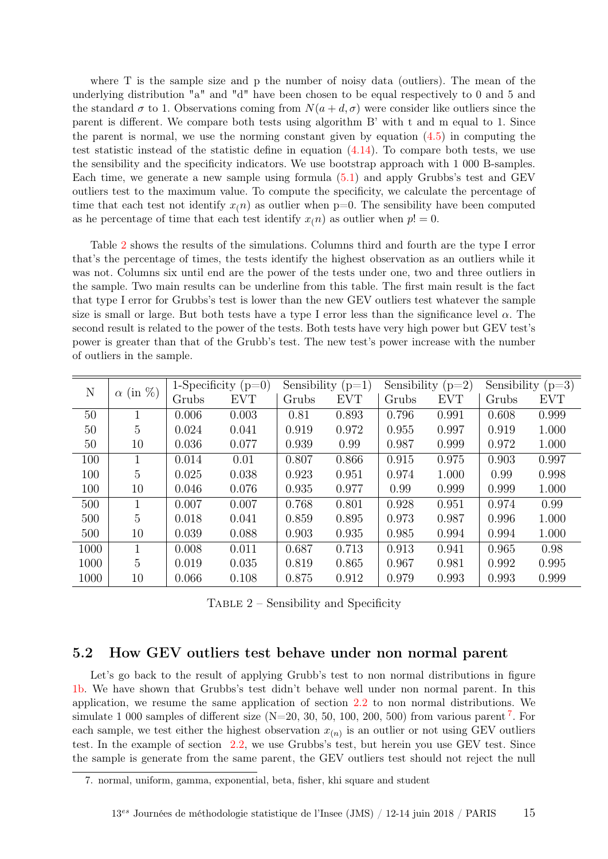where T is the sample size and p the number of noisy data (outliers). The mean of the underlying distribution "a" and "d" have been chosen to be equal respectively to 0 and 5 and the standard  $\sigma$  to 1. Observations coming from  $N(a+d, \sigma)$  were consider like outliers since the parent is different. We compare both tests using algorithm B' with t and m equal to 1. Since the parent is normal, we use the norming constant given by equation  $(4.5)$  in computing the test statistic instead of the statistic define in equation  $(4.14)$ . To compare both tests, we use the sensibility and the specificity indicators. We use bootstrap approach with 1 000 B-samples. Each time, we generate a new sample using formula [\(5.1\)](#page-13-1) and apply Grubbs's test and GEV outliers test to the maximum value. To compute the specificity, we calculate the percentage of time that each test not identify  $x(n)$  as outlier when  $p=0$ . The sensibility have been computed as he percentage of time that each test identify  $x(n)$  as outlier when  $p! = 0$ .

Table [2](#page-14-0) shows the results of the simulations. Columns third and fourth are the type I error that's the percentage of times, the tests identify the highest observation as an outliers while it was not. Columns six until end are the power of the tests under one, two and three outliers in the sample. Two main results can be underline from this table. The first main result is the fact that type I error for Grubbs's test is lower than the new GEV outliers test whatever the sample size is small or large. But both tests have a type I error less than the significance level  $\alpha$ . The second result is related to the power of the tests. Both tests have very high power but GEV test's power is greater than that of the Grubb's test. The new test's power increase with the number of outliers in the sample.

<span id="page-14-0"></span>

| N    | $(in \%)$<br>$\alpha$ | 1-Specificity $(p=0)$ |            | Sensibility $(p=1)$ |            | Sensibility $(p=2)$ |            | Sensibility $(p=3)$ |            |
|------|-----------------------|-----------------------|------------|---------------------|------------|---------------------|------------|---------------------|------------|
|      |                       | Grubs                 | <b>EVT</b> | Grubs               | <b>EVT</b> | Grubs               | <b>EVT</b> | Grubs               | <b>EVT</b> |
| 50   |                       | 0.006                 | 0.003      | 0.81                | 0.893      | 0.796               | 0.991      | 0.608               | 0.999      |
| 50   | 5                     | 0.024                 | 0.041      | 0.919               | 0.972      | 0.955               | 0.997      | 0.919               | 1.000      |
| 50   | 10                    | 0.036                 | 0.077      | 0.939               | 0.99       | 0.987               | 0.999      | 0.972               | 1.000      |
| 100  | 1                     | 0.014                 | 0.01       | 0.807               | 0.866      | 0.915               | 0.975      | 0.903               | 0.997      |
| 100  | 5                     | 0.025                 | 0.038      | 0.923               | 0.951      | 0.974               | 1.000      | 0.99                | 0.998      |
| 100  | 10                    | 0.046                 | 0.076      | 0.935               | 0.977      | 0.99                | 0.999      | 0.999               | 1.000      |
| 500  | 1                     | 0.007                 | 0.007      | 0.768               | 0.801      | 0.928               | 0.951      | 0.974               | 0.99       |
| 500  | 5                     | 0.018                 | 0.041      | 0.859               | 0.895      | 0.973               | 0.987      | 0.996               | 1.000      |
| 500  | 10                    | 0.039                 | 0.088      | 0.903               | 0.935      | 0.985               | 0.994      | 0.994               | 1.000      |
| 1000 | 1                     | 0.008                 | 0.011      | 0.687               | 0.713      | 0.913               | 0.941      | 0.965               | 0.98       |
| 1000 | 5                     | 0.019                 | 0.035      | 0.819               | 0.865      | 0.967               | 0.981      | 0.992               | 0.995      |
| 1000 | 10                    | 0.066                 | 0.108      | 0.875               | 0.912      | 0.979               | 0.993      | 0.993               | 0.999      |

TABLE  $2$  – Sensibility and Specificity

#### 5.2 How GEV outliers test behave under non normal parent

Let's go back to the result of applying Grubb's test to non normal distributions in figure [1b.](#page-4-0) We have shown that Grubbs's test didn't behave well under non normal parent. In this application, we resume the same application of section [2.2](#page-3-3) to non normal distributions. We simulate 1 000 samples of different size  $(N=20, 30, 50, 100, 200, 500)$  from various parent<sup>[7](#page-14-1)</sup>. For each sample, we test either the highest observation  $x_{(n)}$  is an outlier or not using GEV outliers test. In the example of section [2.2,](#page-3-3) we use Grubbs's test, but herein you use GEV test. Since the sample is generate from the same parent, the GEV outliers test should not reject the null

<span id="page-14-1"></span><sup>7.</sup> normal, uniform, gamma, exponential, beta, fisher, khi square and student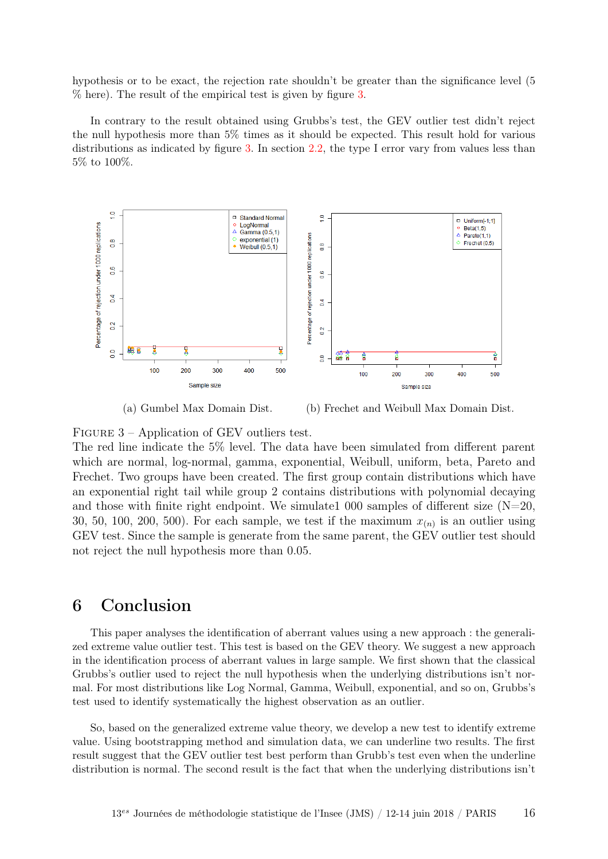hypothesis or to be exact, the rejection rate shouldn't be greater than the significance level (5 % here). The result of the empirical test is given by figure [3.](#page-15-0)

In contrary to the result obtained using Grubbs's test, the GEV outlier test didn't reject the null hypothesis more than 5% times as it should be expected. This result hold for various distributions as indicated by figure [3.](#page-15-0) In section [2.2,](#page-3-3) the type I error vary from values less than 5% to 100%.

<span id="page-15-0"></span>

(a) Gumbel Max Domain Dist. (b) Frechet and Weibull Max Domain Dist.

FIGURE 3 – Application of GEV outliers test.

The red line indicate the 5% level. The data have been simulated from different parent which are normal, log-normal, gamma, exponential, Weibull, uniform, beta, Pareto and Frechet. Two groups have been created. The first group contain distributions which have an exponential right tail while group 2 contains distributions with polynomial decaying and those with finite right endpoint. We simulate  $1000$  samples of different size (N=20, 30, 50, 100, 200, 500). For each sample, we test if the maximum  $x_{(n)}$  is an outlier using GEV test. Since the sample is generate from the same parent, the GEV outlier test should not reject the null hypothesis more than 0.05.

# 6 Conclusion

This paper analyses the identification of aberrant values using a new approach : the generalized extreme value outlier test. This test is based on the GEV theory. We suggest a new approach in the identification process of aberrant values in large sample. We first shown that the classical Grubbs's outlier used to reject the null hypothesis when the underlying distributions isn't normal. For most distributions like Log Normal, Gamma, Weibull, exponential, and so on, Grubbs's test used to identify systematically the highest observation as an outlier.

So, based on the generalized extreme value theory, we develop a new test to identify extreme value. Using bootstrapping method and simulation data, we can underline two results. The first result suggest that the GEV outlier test best perform than Grubb's test even when the underline distribution is normal. The second result is the fact that when the underlying distributions isn't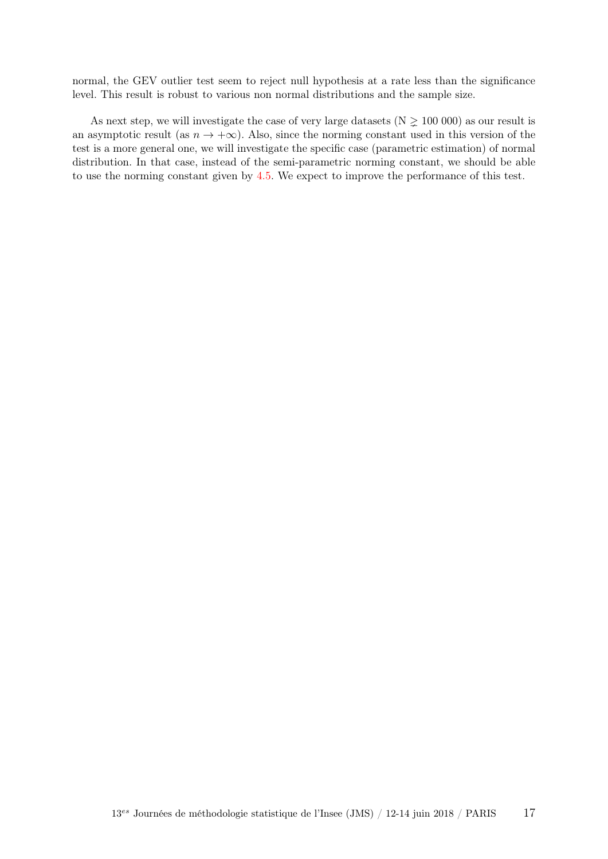normal, the GEV outlier test seem to reject null hypothesis at a rate less than the significance level. This result is robust to various non normal distributions and the sample size.

As next step, we will investigate the case of very large datasets ( $N \ge 100000$ ) as our result is an asymptotic result (as  $n \to +\infty$ ). Also, since the norming constant used in this version of the test is a more general one, we will investigate the specific case (parametric estimation) of normal distribution. In that case, instead of the semi-parametric norming constant, we should be able to use the norming constant given by [4.5.](#page-9-1) We expect to improve the performance of this test.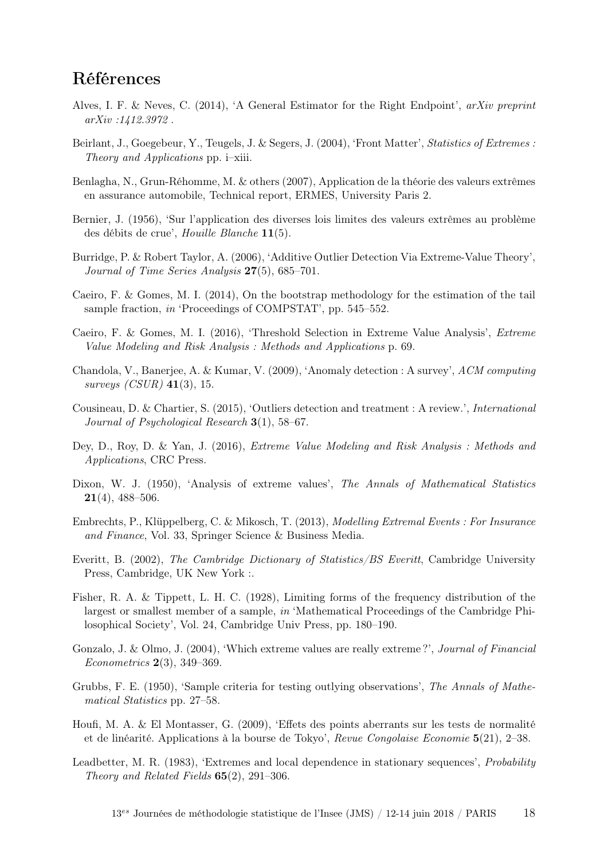# Références

- <span id="page-17-7"></span>Alves, I. F. & Neves, C. (2014), 'A General Estimator for the Right Endpoint', arXiv preprint arXiv :1412.3972 .
- Beirlant, J., Goegebeur, Y., Teugels, J. & Segers, J. (2004), 'Front Matter', Statistics of Extremes : Theory and Applications pp. i–xiii.
- Benlagha, N., Grun-Réhomme, M. & others (2007), Application de la théorie des valeurs extrêmes en assurance automobile, Technical report, ERMES, University Paris 2.
- Bernier, J. (1956), 'Sur l'application des diverses lois limites des valeurs extrêmes au problème des débits de crue', Houille Blanche 11(5).
- Burridge, P. & Robert Taylor, A. (2006), 'Additive Outlier Detection Via Extreme-Value Theory', Journal of Time Series Analysis 27(5), 685–701.
- Caeiro, F. & Gomes, M. I. (2014), On the bootstrap methodology for the estimation of the tail sample fraction, in 'Proceedings of COMPSTAT', pp. 545–552.
- Caeiro, F. & Gomes, M. I. (2016), 'Threshold Selection in Extreme Value Analysis', Extreme Value Modeling and Risk Analysis : Methods and Applications p. 69.
- <span id="page-17-3"></span>Chandola, V., Banerjee, A. & Kumar, V. (2009), 'Anomaly detection : A survey', ACM computing surveys  $(CSUR)$  41(3), 15.
- <span id="page-17-4"></span>Cousineau, D. & Chartier, S. (2015), 'Outliers detection and treatment : A review.', International Journal of Psychological Research  $3(1)$ , 58–67.
- <span id="page-17-6"></span>Dey, D., Roy, D. & Yan, J. (2016), Extreme Value Modeling and Risk Analysis : Methods and Applications, CRC Press.
- <span id="page-17-1"></span>Dixon, W. J. (1950), 'Analysis of extreme values', The Annals of Mathematical Statistics 21(4), 488–506.
- <span id="page-17-5"></span>Embrechts, P., Klüppelberg, C. & Mikosch, T. (2013), Modelling Extremal Events : For Insurance and Finance, Vol. 33, Springer Science & Business Media.
- Everitt, B. (2002), The Cambridge Dictionary of Statistics/BS Everitt, Cambridge University Press, Cambridge, UK New York :.
- Fisher, R. A. & Tippett, L. H. C. (1928), Limiting forms of the frequency distribution of the largest or smallest member of a sample, in 'Mathematical Proceedings of the Cambridge Philosophical Society', Vol. 24, Cambridge Univ Press, pp. 180–190.
- Gonzalo, J. & Olmo, J. (2004), 'Which extreme values are really extreme ?', Journal of Financial Econometrics 2(3), 349–369.
- <span id="page-17-0"></span>Grubbs, F. E. (1950), 'Sample criteria for testing outlying observations', The Annals of Mathematical Statistics pp. 27–58.
- <span id="page-17-2"></span>Houfi, M. A. & El Montasser, G. (2009), 'Effets des points aberrants sur les tests de normalité et de linéarité. Applications à la bourse de Tokyo', Revue Congolaise Economie 5(21), 2–38.
- <span id="page-17-8"></span>Leadbetter, M. R. (1983), 'Extremes and local dependence in stationary sequences', Probability Theory and Related Fields  $65(2)$ , 291-306.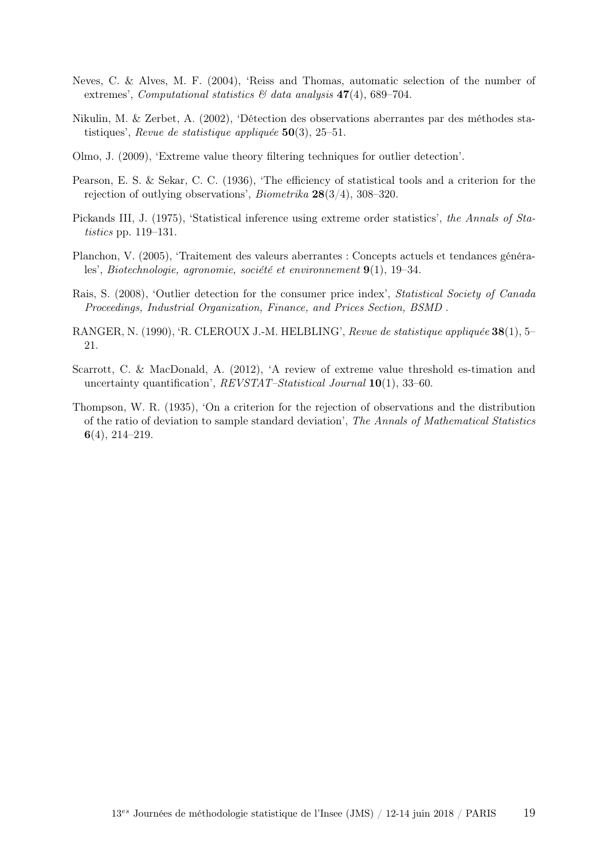- <span id="page-18-6"></span>Neves, C. & Alves, M. F. (2004), 'Reiss and Thomas, automatic selection of the number of extremes', Computational statistics  $\mathcal{B}$  data analysis 47(4), 689–704.
- <span id="page-18-4"></span>Nikulin, M. & Zerbet, A. (2002), 'Détection des observations aberrantes par des méthodes statistiques', Revue de statistique appliquée  $50(3)$ , 25–51.
- <span id="page-18-0"></span>Olmo, J. (2009), 'Extreme value theory filtering techniques for outlier detection'.
- <span id="page-18-1"></span>Pearson, E. S. & Sekar, C. C. (1936), 'The efficiency of statistical tools and a criterion for the rejection of outlying observations', Biometrika 28(3/4), 308–320.
- <span id="page-18-5"></span>Pickands III, J. (1975), 'Statistical inference using extreme order statistics', the Annals of Statistics pp. 119–131.
- Planchon, V. (2005), 'Traitement des valeurs aberrantes : Concepts actuels et tendances générales', Biotechnologie, agronomie, société et environnement 9(1), 19–34.
- Rais, S. (2008), 'Outlier detection for the consumer price index', Statistical Society of Canada Proceedings, Industrial Organization, Finance, and Prices Section, BSMD .
- <span id="page-18-2"></span>RANGER, N. (1990), 'R. CLEROUX J.-M. HELBLING', Revue de statistique appliquée 38(1), 5– 21.
- <span id="page-18-7"></span>Scarrott, C. & MacDonald, A. (2012), 'A review of extreme value threshold es-timation and uncertainty quantification', REVSTAT-Statistical Journal 10(1), 33-60.
- <span id="page-18-3"></span>Thompson, W. R. (1935), 'On a criterion for the rejection of observations and the distribution of the ratio of deviation to sample standard deviation', The Annals of Mathematical Statistics 6(4), 214–219.